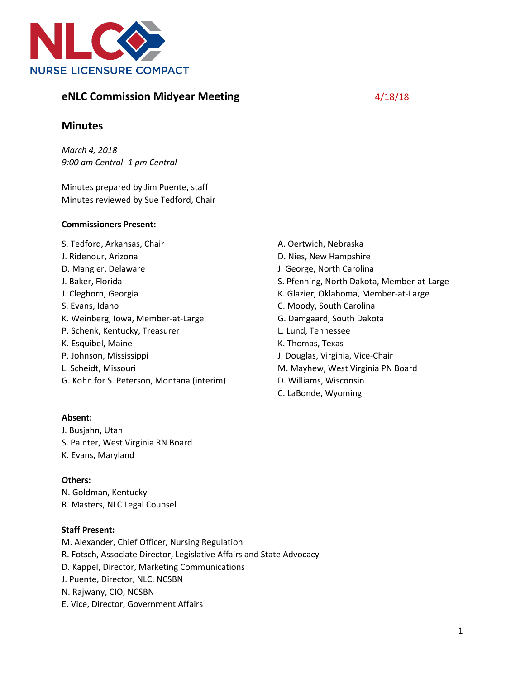

# **eNLC Commission Midyear Meeting**  4/18/18

# **Minutes**

*March 4, 2018 9:00 am Central- 1 pm Central*

Minutes prepared by Jim Puente, staff Minutes reviewed by Sue Tedford, Chair

#### **Commissioners Present:**

S. Tedford, Arkansas, Chair

- J. Ridenour, Arizona
- D. Mangler, Delaware
- J. Baker, Florida
- J. Cleghorn, Georgia
- S. Evans, Idaho
- K. Weinberg, Iowa, Member-at-Large
- P. Schenk, Kentucky, Treasurer
- K. Esquibel, Maine
- P. Johnson, Mississippi
- L. Scheidt, Missouri
- G. Kohn for S. Peterson, Montana (interim)

# **Absent:**

J. Busjahn, Utah S. Painter, West Virginia RN Board K. Evans, Maryland

# **Others:**

N. Goldman, Kentucky R. Masters, NLC Legal Counsel

# **Staff Present:**

M. Alexander, Chief Officer, Nursing Regulation R. Fotsch, Associate Director, Legislative Affairs and State Advocacy D. Kappel, Director, Marketing Communications J. Puente, Director, NLC, NCSBN N. Rajwany, CIO, NCSBN E. Vice, Director, Government Affairs

- A. Oertwich, Nebraska
- D. Nies, New Hampshire
- J. George, North Carolina
- S. Pfenning, North Dakota, Member-at-Large
- K. Glazier, Oklahoma, Member-at-Large
- C. Moody, South Carolina
- G. Damgaard, South Dakota
- L. Lund, Tennessee
- K. Thomas, Texas
- J. Douglas, Virginia, Vice-Chair
- M. Mayhew, West Virginia PN Board
- D. Williams, Wisconsin
- C. LaBonde, Wyoming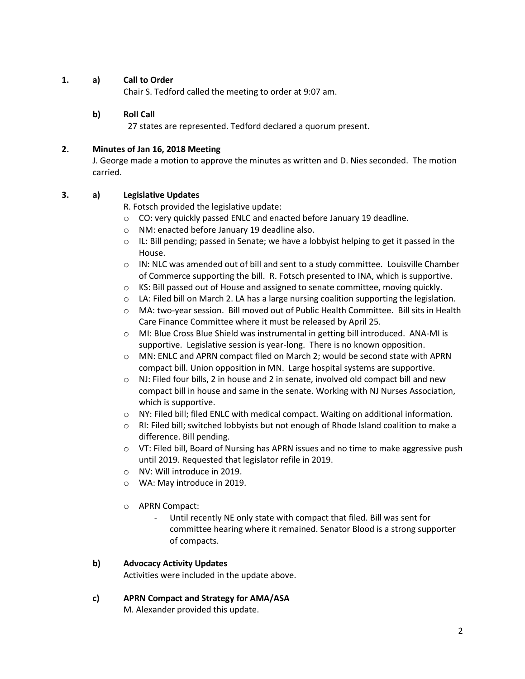# **1. a) Call to Order**

Chair S. Tedford called the meeting to order at 9:07 am.

### **b) Roll Call**

27 states are represented. Tedford declared a quorum present.

#### **2. Minutes of Jan 16, 2018 Meeting**

J. George made a motion to approve the minutes as written and D. Nies seconded. The motion carried.

### **3. a) Legislative Updates**

R. Fotsch provided the legislative update:

- o CO: very quickly passed ENLC and enacted before January 19 deadline.
- o NM: enacted before January 19 deadline also.
- $\circ$  IL: Bill pending; passed in Senate; we have a lobbyist helping to get it passed in the House.
- $\circ$  IN: NLC was amended out of bill and sent to a study committee. Louisville Chamber of Commerce supporting the bill. R. Fotsch presented to INA, which is supportive.
- o KS: Bill passed out of House and assigned to senate committee, moving quickly.
- $\circ$  LA: Filed bill on March 2. LA has a large nursing coalition supporting the legislation.
- o MA: two-year session. Bill moved out of Public Health Committee. Bill sits in Health Care Finance Committee where it must be released by April 25.
- o MI: Blue Cross Blue Shield was instrumental in getting bill introduced. ANA-MI is supportive. Legislative session is year-long. There is no known opposition.
- o MN: ENLC and APRN compact filed on March 2; would be second state with APRN compact bill. Union opposition in MN. Large hospital systems are supportive.
- $\circ$  NJ: Filed four bills, 2 in house and 2 in senate, involved old compact bill and new compact bill in house and same in the senate. Working with NJ Nurses Association, which is supportive.
- $\circ$  NY: Filed bill; filed ENLC with medical compact. Waiting on additional information.
- o RI: Filed bill; switched lobbyists but not enough of Rhode Island coalition to make a difference. Bill pending.
- o VT: Filed bill, Board of Nursing has APRN issues and no time to make aggressive push until 2019. Requested that legislator refile in 2019.
- o NV: Will introduce in 2019.
- o WA: May introduce in 2019.
- o APRN Compact:
	- Until recently NE only state with compact that filed. Bill was sent for committee hearing where it remained. Senator Blood is a strong supporter of compacts.

# **b) Advocacy Activity Updates**

Activities were included in the update above.

#### **c) APRN Compact and Strategy for AMA/ASA**

M. Alexander provided this update.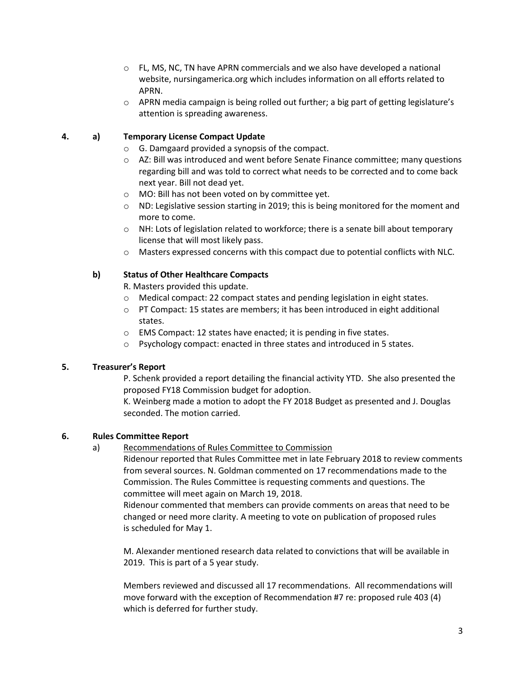- $\circ$  FL, MS, NC, TN have APRN commercials and we also have developed a national website, nursingamerica.org which includes information on all efforts related to APRN.
- o APRN media campaign is being rolled out further; a big part of getting legislature's attention is spreading awareness.

## **4. a) Temporary License Compact Update**

- o G. Damgaard provided a synopsis of the compact.
- $\circ$  AZ: Bill was introduced and went before Senate Finance committee; many questions regarding bill and was told to correct what needs to be corrected and to come back next year. Bill not dead yet.
- o MO: Bill has not been voted on by committee yet.
- $\circ$  ND: Legislative session starting in 2019; this is being monitored for the moment and more to come.
- o NH: Lots of legislation related to workforce; there is a senate bill about temporary license that will most likely pass.
- $\circ$  Masters expressed concerns with this compact due to potential conflicts with NLC.

### **b) Status of Other Healthcare Compacts**

R. Masters provided this update.

- $\circ$  Medical compact: 22 compact states and pending legislation in eight states.
- $\circ$  PT Compact: 15 states are members; it has been introduced in eight additional states.
- o EMS Compact: 12 states have enacted; it is pending in five states.
- o Psychology compact: enacted in three states and introduced in 5 states.

# **5. Treasurer's Report**

P. Schenk provided a report detailing the financial activity YTD. She also presented the proposed FY18 Commission budget for adoption.

K. Weinberg made a motion to adopt the FY 2018 Budget as presented and J. Douglas seconded. The motion carried.

# **6. Rules Committee Report**

a) Recommendations of Rules Committee to Commission

Ridenour reported that Rules Committee met in late February 2018 to review comments from several sources. N. Goldman commented on 17 recommendations made to the Commission. The Rules Committee is requesting comments and questions. The committee will meet again on March 19, 2018.

Ridenour commented that members can provide comments on areas that need to be changed or need more clarity. A meeting to vote on publication of proposed rules is scheduled for May 1.

M. Alexander mentioned research data related to convictions that will be available in 2019. This is part of a 5 year study.

Members reviewed and discussed all 17 recommendations. All recommendations will move forward with the exception of Recommendation #7 re: proposed rule 403 (4) which is deferred for further study.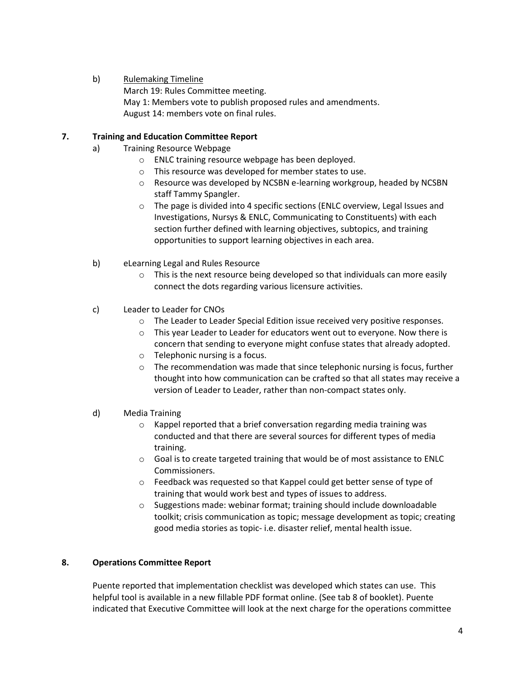## b) Rulemaking Timeline

March 19: Rules Committee meeting. May 1: Members vote to publish proposed rules and amendments. August 14: members vote on final rules.

### **7. Training and Education Committee Report**

- a) Training Resource Webpage
	- o ENLC training resource webpage has been deployed.
	- o This resource was developed for member states to use.
	- o Resource was developed by NCSBN e-learning workgroup, headed by NCSBN staff Tammy Spangler.
	- o The page is divided into 4 specific sections (ENLC overview, Legal Issues and Investigations, Nursys & ENLC, Communicating to Constituents) with each section further defined with learning objectives, subtopics, and training opportunities to support learning objectives in each area.
- b) eLearning Legal and Rules Resource
	- $\circ$  This is the next resource being developed so that individuals can more easily connect the dots regarding various licensure activities.
- c) Leader to Leader for CNOs
	- o The Leader to Leader Special Edition issue received very positive responses.
	- o This year Leader to Leader for educators went out to everyone. Now there is concern that sending to everyone might confuse states that already adopted.
	- o Telephonic nursing is a focus.
	- o The recommendation was made that since telephonic nursing is focus, further thought into how communication can be crafted so that all states may receive a version of Leader to Leader, rather than non-compact states only.
- d) Media Training
	- o Kappel reported that a brief conversation regarding media training was conducted and that there are several sources for different types of media training.
	- o Goal is to create targeted training that would be of most assistance to ENLC Commissioners.
	- o Feedback was requested so that Kappel could get better sense of type of training that would work best and types of issues to address.
	- o Suggestions made: webinar format; training should include downloadable toolkit; crisis communication as topic; message development as topic; creating good media stories as topic- i.e. disaster relief, mental health issue.

#### **8. Operations Committee Report**

Puente reported that implementation checklist was developed which states can use. This helpful tool is available in a new fillable PDF format online. (See tab 8 of booklet). Puente indicated that Executive Committee will look at the next charge for the operations committee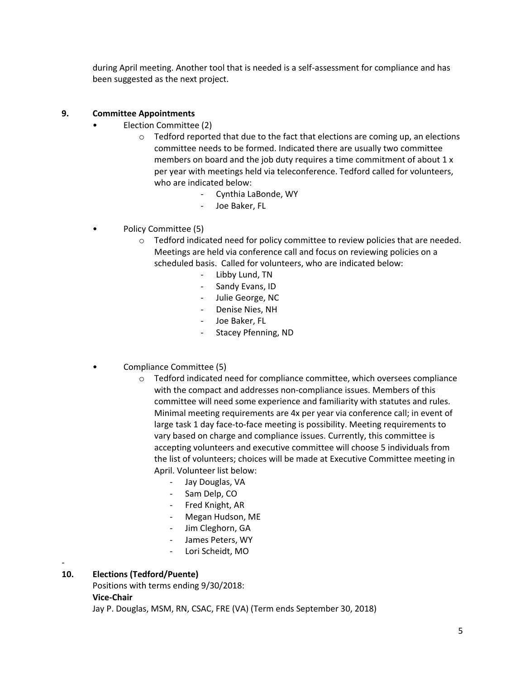during April meeting. Another tool that is needed is a self-assessment for compliance and has been suggested as the next project.

# **9. Committee Appointments**

- Election Committee (2)
	- $\circ$  Tedford reported that due to the fact that elections are coming up, an elections committee needs to be formed. Indicated there are usually two committee members on board and the job duty requires a time commitment of about 1 x per year with meetings held via teleconference. Tedford called for volunteers, who are indicated below:
		- Cynthia LaBonde, WY
		- Joe Baker, FL
- Policy Committee (5)
	- o Tedford indicated need for policy committee to review policies that are needed. Meetings are held via conference call and focus on reviewing policies on a scheduled basis. Called for volunteers, who are indicated below:
		- Libby Lund, TN
		- Sandy Evans, ID
		- Julie George, NC
		- Denise Nies, NH
		- Joe Baker, FL
		- Stacey Pfenning, ND
- Compliance Committee (5)
	- $\circ$  Tedford indicated need for compliance committee, which oversees compliance with the compact and addresses non-compliance issues. Members of this committee will need some experience and familiarity with statutes and rules. Minimal meeting requirements are 4x per year via conference call; in event of large task 1 day face-to-face meeting is possibility. Meeting requirements to vary based on charge and compliance issues. Currently, this committee is accepting volunteers and executive committee will choose 5 individuals from the list of volunteers; choices will be made at Executive Committee meeting in April. Volunteer list below:
		- Jay Douglas, VA
		- Sam Delp, CO
		- Fred Knight, AR
		- Megan Hudson, ME
		- Jim Cleghorn, GA
		- James Peters, WY
		- Lori Scheidt, MO

#### **10. Elections (Tedford/Puente)**

Positions with terms ending 9/30/2018:

**Vice-Chair**

-

Jay P. Douglas, MSM, RN, CSAC, FRE (VA) (Term ends September 30, 2018)